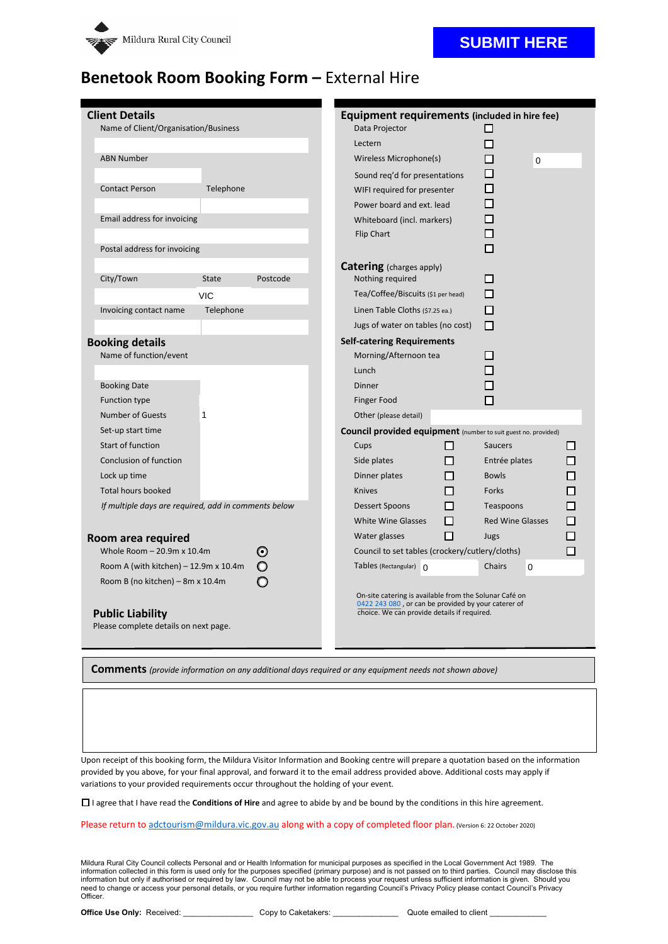

### **SUBMIT HERE**

## **Benetook Room Booking Form –** External Hire

| <b>Client Details</b>                                |              |          |                                                                                                    | Equipment requirements (included in hire fee)                         |           |                         |          |   |  |
|------------------------------------------------------|--------------|----------|----------------------------------------------------------------------------------------------------|-----------------------------------------------------------------------|-----------|-------------------------|----------|---|--|
| Name of Client/Organisation/Business                 |              |          |                                                                                                    | Data Projector                                                        |           | ◘                       |          |   |  |
|                                                      |              |          |                                                                                                    | Lectern                                                               |           | П                       |          |   |  |
| <b>ABN Number</b>                                    |              |          |                                                                                                    | Wireless Microphone(s)                                                |           | п                       | $\Omega$ |   |  |
|                                                      |              |          |                                                                                                    | Sound req'd for presentations                                         |           | П                       |          |   |  |
| <b>Contact Person</b>                                | Telephone    |          |                                                                                                    | WIFI required for presenter                                           |           | П                       |          |   |  |
|                                                      |              |          |                                                                                                    | Power board and ext. lead                                             |           | П                       |          |   |  |
| Email address for invoicing                          |              |          | Whiteboard (incl. markers)                                                                         |                                                                       |           |                         |          |   |  |
|                                                      |              |          |                                                                                                    | Flip Chart                                                            |           |                         |          |   |  |
| Postal address for invoicing                         |              |          |                                                                                                    |                                                                       |           |                         |          |   |  |
|                                                      |              |          |                                                                                                    | <b>Catering</b> (charges apply)                                       |           |                         |          |   |  |
| City/Town                                            | <b>State</b> | Postcode |                                                                                                    | Nothing required                                                      |           |                         | П        |   |  |
|                                                      | <b>VIC</b>   |          |                                                                                                    | Tea/Coffee/Biscuits (\$1 per head)                                    |           | П                       |          |   |  |
| Invoicing contact name                               | Telephone    |          |                                                                                                    | Linen Table Cloths (\$7.25 ea.)                                       |           | П                       |          |   |  |
|                                                      |              |          |                                                                                                    | Jugs of water on tables (no cost)                                     |           |                         |          |   |  |
| <b>Booking details</b>                               |              |          |                                                                                                    | <b>Self-catering Requirements</b>                                     |           |                         |          |   |  |
| Name of function/event                               |              |          |                                                                                                    | Morning/Afternoon tea                                                 |           |                         |          |   |  |
|                                                      |              |          |                                                                                                    | Lunch                                                                 |           |                         |          |   |  |
| <b>Booking Date</b>                                  |              |          |                                                                                                    | <b>Dinner</b>                                                         |           |                         |          |   |  |
| <b>Function type</b>                                 |              |          |                                                                                                    | <b>Finger Food</b>                                                    |           |                         |          |   |  |
| <b>Number of Guests</b>                              | 1            |          |                                                                                                    | Other (please detail)                                                 |           |                         |          |   |  |
| Set-up start time                                    |              |          |                                                                                                    | <b>Council provided equipment</b> (number to suit guest no. provided) |           |                         |          |   |  |
| <b>Start of function</b>                             |              |          |                                                                                                    | Cups                                                                  | П         | <b>Saucers</b>          |          |   |  |
| Conclusion of function                               |              |          |                                                                                                    | Side plates                                                           | п         | Entrée plates           |          |   |  |
| Lock up time                                         |              |          |                                                                                                    | Dinner plates                                                         | П         | <b>Bowls</b>            |          |   |  |
| <b>Total hours booked</b>                            |              |          |                                                                                                    | <b>Knives</b>                                                         | п         | Forks                   |          |   |  |
| If multiple days are required, add in comments below |              |          | <b>Dessert Spoons</b>                                                                              | п                                                                     | Teaspoons |                         | П        |   |  |
|                                                      |              |          |                                                                                                    | <b>White Wine Glasses</b>                                             | п         | <b>Red Wine Glasses</b> |          | п |  |
| Room area required                                   |              |          |                                                                                                    | Water glasses                                                         | П         | Jugs                    |          |   |  |
| Whole Room $-20.9$ m x 10.4m<br>O                    |              |          | Council to set tables (crockery/cutlery/cloths)                                                    |                                                                       |           | п                       |          |   |  |
| Room A (with kitchen) $-12.9$ m x 10.4m              |              |          |                                                                                                    | Tables (Rectangular) $\bigcap$                                        |           | Chairs                  | $\Omega$ |   |  |
| Room B (no kitchen) – 8m x 10.4m                     |              |          |                                                                                                    |                                                                       |           |                         |          |   |  |
|                                                      |              |          |                                                                                                    | On-site catering is available from the Solunar Café on                |           |                         |          |   |  |
| <b>Public Liability</b>                              |              |          | 0422 243 080, or can be provided by your caterer of<br>choice. We can provide details if required. |                                                                       |           |                         |          |   |  |
| Please complete details on next page.                |              |          |                                                                                                    |                                                                       |           |                         |          |   |  |
|                                                      |              |          |                                                                                                    |                                                                       |           |                         |          |   |  |

**Comments** *(provide information on any additional days required or any equipment needs not shown above)*

Upon receipt of this booking form, the Mildura Visitor Information and Booking centre will prepare a quotation based on the information provided by you above, for your final approval, and forward it to the email address provided above. Additional costs may apply if variations to your provided requirements occur throughout the holding of your event.

☐ I agree that I have read the **Conditions of Hire** and agree to abide by and be bound by the conditions in this hire agreement.

Please return t[o adctourism@mildura.vic.gov.au](mailto:adctourism@mildura.vic.gov.au) along with a copy of completed floor plan. (Version 6: 22 October 2020)

Mildura Rural City Council collects Personal and or Health Information for municipal purposes as specified in the Local Government Act 1989. The information collected in this form is used only for the purposes specified (primary purpose) and is not passed on to third parties. Council may disclose this information but only if authorised or required by law. Council may not be able to process your request unless sufficient information is given. Should you<br>need to change or access your personal details, or you require fur Officer.

**Office Use Only:** Received: \_\_\_\_\_\_\_\_\_\_\_\_\_\_\_\_\_\_\_ Copy to Caketakers: \_\_\_\_\_\_\_\_\_\_\_\_\_\_\_\_\_\_\_ Quote emailed to client \_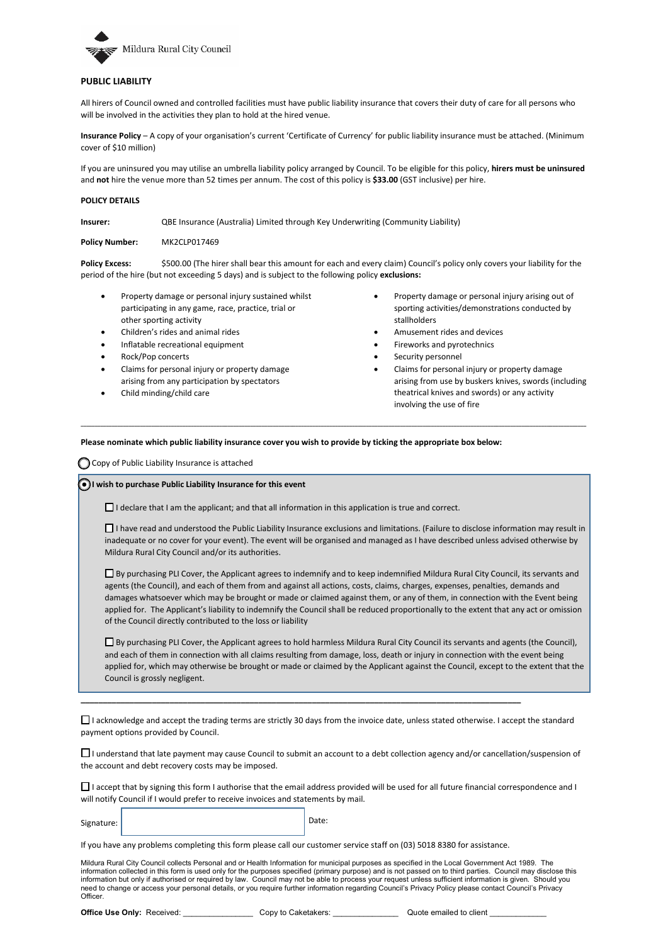

#### **PUBLIC LIABILITY**

All hirers of Council owned and controlled facilities must have public liability insurance that covers their duty of care for all persons who will be involved in the activities they plan to hold at the hired venue.

**Insurance Policy** – A copy of your organisation's current 'Certificate of Currency' for public liability insurance must be attached. (Minimum cover of \$10 million)

If you are uninsured you may utilise an umbrella liability policy arranged by Council. To be eligible for this policy, **hirers must be uninsured** and **not** hire the venue more than 52 times per annum. The cost of this policy is **\$33.00** (GST inclusive) per hire.

#### **POLICY DETAILS**

**Insurer:** QBE Insurance (Australia) Limited through Key Underwriting (Community Liability)

**Policy Number:** MK2CLP017469

**Policy Excess:** \$500.00 (The hirer shall bear this amount for each and every claim) Council's policy only covers your liability for the period of the hire (but not exceeding 5 days) and is subject to the following policy **exclusions:**

**\_\_\_\_\_\_\_\_\_\_\_\_\_\_\_\_\_\_\_\_\_\_\_\_\_\_\_\_\_\_\_\_\_\_\_\_\_\_\_\_\_\_\_\_\_\_\_\_\_\_\_\_\_\_\_\_\_\_\_\_\_\_\_\_\_\_\_\_\_\_\_\_\_\_\_\_\_\_\_\_\_\_\_\_\_\_\_\_\_\_\_\_\_\_\_\_\_\_\_\_\_\_\_\_\_\_\_\_\_\_\_\_\_\_\_\_\_\_\_\_\_\_\_\_\_\_\_\_\_\_\_\_\_\_\_\_\_\_\_\_\_\_\_\_\_\_\_\_\_\_\_\_\_\_\_\_\_\_\_\_\_\_\_\_\_\_\_\_\_\_\_\_\_\_\_\_\_\_\_**

- Property damage or personal injury sustained whilst participating in any game, race, practice, trial or other sporting activity
- Children's rides and animal rides
- Inflatable recreational equipment
- Rock/Pop concerts
- Claims for personal injury or property damage arising from any participation by spectators
- Child minding/child care
- Property damage or personal injury arising out of sporting activities/demonstrations conducted by stallholders
- Amusement rides and devices
- Fireworks and pyrotechnics
- Security personnel
- Claims for personal injury or property damage arising from use by buskers knives, swords (including theatrical knives and swords) or any activity involving the use of fire

#### **Please nominate which public liability insurance cover you wish to provide by ticking the appropriate box below:**

◯ Copy of Public Liability Insurance is attached

#### **O**I wish to purchase Public Liability Insurance for this event

□ I declare that I am the applicant; and that all information in this application is true and correct.

☐ I have read and understood the Public Liability Insurance exclusions and limitations. (Failure to disclose information may result in inadequate or no cover for your event). The event will be organised and managed as I have described unless advised otherwise by Mildura Rural City Council and/or its authorities.

□ By purchasing PLI Cover, the Applicant agrees to indemnify and to keep indemnified Mildura Rural City Council, its servants and agents (the Council), and each of them from and against all actions, costs, claims, charges, expenses, penalties, demands and damages whatsoever which may be brought or made or claimed against them, or any of them, in connection with the Event being applied for. The Applicant's liability to indemnify the Council shall be reduced proportionally to the extent that any act or omission of the Council directly contributed to the loss or liability

☐ By purchasing PLI Cover, the Applicant agrees to hold harmless Mildura Rural City Council its servants and agents (the Council), and each of them in connection with all claims resulting from damage, loss, death or injury in connection with the event being applied for, which may otherwise be brought or made or claimed by the Applicant against the Council, except to the extent that the Council is grossly negligent.

□ I acknowledge and accept the trading terms are strictly 30 days from the invoice date, unless stated otherwise. I accept the standard payment options provided by Council.

**\_\_\_\_\_\_\_\_\_\_\_\_\_\_\_\_\_\_\_\_\_\_\_\_\_\_\_\_\_\_\_\_\_\_\_\_\_\_\_\_\_\_\_\_\_\_\_\_\_\_\_\_\_\_\_\_\_\_\_\_\_\_\_\_\_\_\_\_\_\_\_\_\_\_\_\_\_\_\_\_\_\_\_\_\_\_\_\_\_\_\_\_\_\_\_\_\_\_\_**

☐ I understand that late payment may cause Council to submit an account to a debt collection agency and/or cancellation/suspension of the account and debt recovery costs may be imposed.

□ I accept that by signing this form I authorise that the email address provided will be used for all future financial correspondence and I will notify Council if I would prefer to receive invoices and statements by mail.

Signature: **Date:** Date: **Date:** Date: **Date: Date: Date: Date: Date: Date: Date: Date: Date: Date: Date: Date: Date: Date: Date: Date: Date: Date: Date: Date: Date: Date: Date:** 

If you have any problems completing this form please call our customer service staff on (03) 5018 8380 for assistance.

Mildura Rural City Council collects Personal and or Health Information for municipal purposes as specified in the Local Government Act 1989. The information collected in this form is used only for the purposes specified (primary purpose) and is not passed on to third parties. Council may disclose this information but only if authorised or required by law. Council may not be able to process your request unless sufficient information is given. Should you need to change or access your personal details, or you require further information regarding Council's Privacy Policy please contact Council's Privacy Officer.